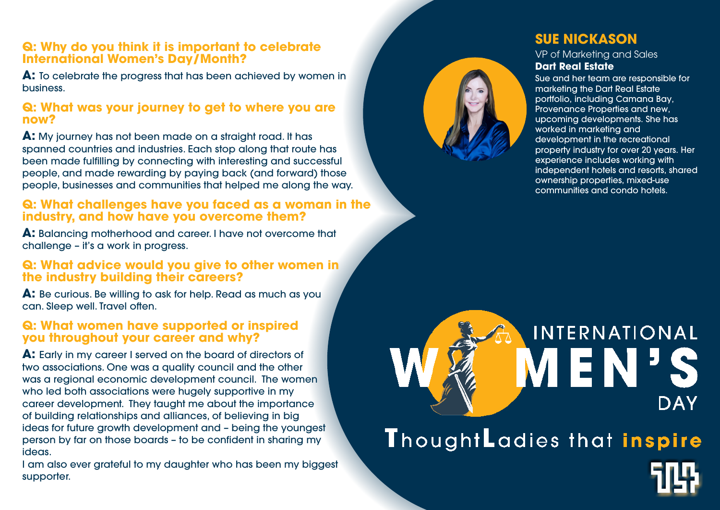## **Q: Why do you think it is important to celebrate International Women's Day/Month?**

**A:**  To celebrate the progress that has been achieved by women in business.

#### **Q: What was your journey to get to where you are now?**

**A:** My journey has not been made on a straight road. It has spanned countries and industries. Each stop along that route has been made fulfilling by connecting with interesting and successful people, and made rewarding by paying back (and forward) those people, businesses and communities that helped me along the way.

A: Balancing motherhood and career. I have not overcome that challenge – it's a work in progress.

## **Q: What challenges have you faced as a woman in the industr y, and how have you overcome them?**

I am also ever grateful to my daughter who has been my biggest supporter.





#### **Q: What advice would you give to other women in the industry building their careers?**

**A:** Be curious. Be willing to ask for help. Read as much as you can. Sleep well. Travel often.

#### **Q: What women have supported or inspired you throughout your career and why?**

**A:** Early in my career I served on the board of directors of two associations. One was a quality council and the other was a regional economic development council. The women who led both associations were hugely supportive in my career developmen t. They taught me about the importance of building relationships and alliances, of believing in big ideas for future growth development and – being the youngest person by far on those boards – to be confident in sharing my ideas.

# **SUE NICKASON**

VP of Marketing and Sales **Dart Real Estate**

Sue and her team are responsible for marketing the Dart Real Estate portfolio, including Camana Bay, Provenance Properties and new, upcoming developments. She has worked in marketing and development in the recreational property industry for over 20 years. Her experience includes working with independent hotels and resorts, shared ownership properties, mixed-use communities and condo hotels.

# INTERNATIONAL **DAY**